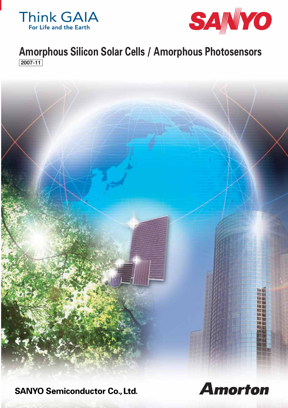



# **Amorphous Silicon Solar Cells / Amorphous Photosensors 2007-11**



**SANYO Semiconductor Co., Ltd.** 

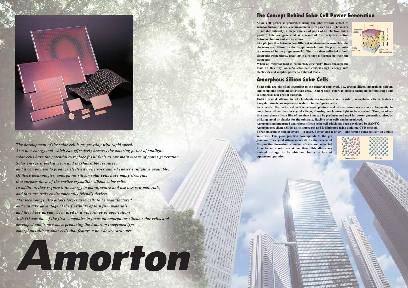**2**





*The development of the solar cell is progressing with rapid speed. As a new energy tool which can effectively harness the amazing power of sunlight, solar cells have the potential to replace fossil fuels as our main means of power generation. Solar energy is both a clean and inexhaustible resource, and it can be used to produce electricity wherever and whenever sunlight is available. Of these technologies, amorphous silicon solar cells have many strengths that surpass those of the earlier crystalline silicon solar cells. In addition, they require little energy to manufacture and use less raw materials, and thus are truly environmentally friendly devices. This technology also allows larger area cells to be manufactured and can take advantage of the flexibility of thin film materials, and they have already been used in a wide range of applications. SANYO was one of the first companies to focus on amorphous silicon solar cells, and developed and is now mass producing the Amorton integrated type amorphous silicon solar cells that feature a new device structure.*

YA morton

## **Amorphous Silicon Solar Cells**

## **The Concept Behind Solar Cell Power Generation**

**Solar cell power is generated using the photovoltaic effect of semiconductors. When a semiconductor is exposed to a light source of suitable intensity, a large number of pairs of an electron and a positive hole are generated as a result of the reciprocal action between photons and silicon atoms. At a p/n junction between two different semiconductor materials, the** 

Amorphous Crystal **Unlike crystal silicon, in which atomic arrangements are regular, amorphous silicon features irregular atomic arrangements as shown in the figures below. As a result, the reciprocal action between photons and silicon atoms occurs more frequently in amorphous silicon than in crystal silicon, allowing much more light to be absorbed. Thus, an ultrathin amorphous silicon film of less than 1**μ**m can be produced and used for power generation. Also, by utilizing metal or plastics for the substrate, flexible solar cells can be produced. Amorton is an integrated amorphous silicon solar cell which has been developed by SANYO. Amorton uses silane (SiH4) as its source gas and is fabricated using a plasma CVD method. Three amorphous silicon layers — p-layer, i-layer, and n-layer — are formed consecutively on a glass substrate. This p-i-n junction corresponds to the p/n junction of a crystal silicon solar cell. In the process of this junction formation, a number of cells are connected in series on a substrate at one time. This allows any desired voltage to be obtained for a variety of equipment operation.**

**electrons are diffused in the n-type material and the positive holes are scattered in the p-type material. They are then collected at both electrodes respectively, resulting in a voltage difference between the electrodes.**

**When an external load is connected, electricity flows through the load. In this way, an a-Si solar cell converts light energy into electricity and supplies power to external loads.**

**Solar cells are classified according to the material employed, i.e., crystal silicon, amorphous silicon, and compound semiconductor solar cells. "Amorphous" refers to objects having no definite shape and is defined as non-crystal material.**



**The Contract of Security 1999**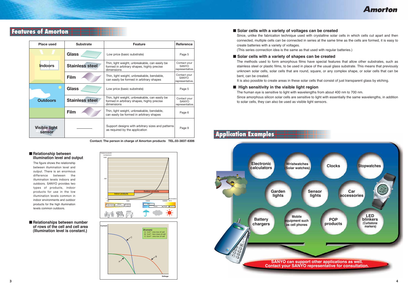**Amorton** 

## **Features of Amorton**

The figure shows the relationship between illumination level and output. There is an enormous difference between the illumination levels indoors andoutdoors. SANYO provides two types of products, indoor products for use in the low illumination levels common in indoor environments and outdoor products for the high illumination levels common outdoors.

Since, unlike the fabrication technique used with crystalline solar cells in which cells cut apart and then connected, multiple cells can be connected in series at the same time as the cells are formed, it is easy to

- **Solar cells with a variety of voltages can be created** create batteries with a variety of voltages. (This series connection idea is the same as that used with regular batteries.)
- **Solar cells with a variety of shapes can be created** bent, can be created.

The methods used to form amorphous films have special features that allow other substrates, such as stainless steel or plastic films, to be used in place of the usual glass substrate. This means that previously unknown solar cells, solar cells that are round, square, or any complex shape, or solar cells that can be



It is also possible to create areas in these solar cells that consist of just transparent glass by etching.

■ **High sensitivity in the visible light region** The human eye is sensitive to light with wavelengths from about 400 nm to 700 nm. to solar cells, they can also be used as visible light sensors.

Since amorphous silicon solar cells are sensitive to light with essentially the same wavelengths, in addition

### ■ **Relationship between illumination level and output**





| Place used                            | <b>Substrate</b> | <b>Feature</b>                                                                                             | <b>Reference</b>                                |
|---------------------------------------|------------------|------------------------------------------------------------------------------------------------------------|-------------------------------------------------|
|                                       | <b>Glass</b>     | Low price (basic substrate)                                                                                | Page 5                                          |
| <b>Indoors</b>                        | Stainless steel  | Thin, light weight, unbreakable, can easily be<br>formed in arbitrary shapes, highly precise<br>dimensions | Contact your<br>SANYO<br>representative.        |
|                                       | Film             | Thin, light weight, unbreakable, bendable,<br>can easily be formed in arbitrary shapes                     | Contact your<br><b>SANYO</b><br>representative. |
|                                       | <b>Glass</b>     | Low price (basic substrate)                                                                                | Page 5                                          |
| <b>Outdoors</b>                       | Stainless steel  | Thin, light weight, unbreakable, can easily be<br>formed in arbitrary shapes, highly precise<br>dimensions | Contact your<br><b>SANYO</b><br>representative. |
|                                       | Film             | Thin, light weight, unbreakable, bendable,<br>can easily be formed in arbitrary shapes                     | Page 6                                          |
| <b>Visible light</b><br><b>sensor</b> |                  | Support designs with arbitrary sizes and patterns<br>as required by the application                        | Page 9                                          |

**Contact: The person in charge of Amorton products TEL.03-3837-6306**

### ■ **Relationships between number of rows of the cell and cell area (Illumination level is constant.)**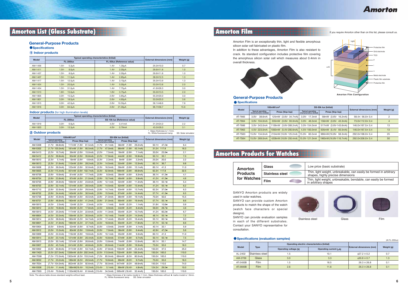## **Amorton Products for Watches**

Amorton Film is an exceptionally thin, light and flexible amorphous silicon solar cell fabricated on plastic film.

In addition to these advantages, Amorton Film is also resistant to crack. Its standard configuration includes protective film covering the amorphous silicon solar cell which measures about 0.4mm in overall thickness.



### **General-Purpose Products**

### **Specifications**

|              | 100mW/cm <sup>2</sup>                                 |                        | SS-50k lux (Initial)                                  |                        |                             |                |
|--------------|-------------------------------------------------------|------------------------|-------------------------------------------------------|------------------------|-----------------------------|----------------|
| <b>Model</b> | <b>Typical operating</b><br>characteristics (Initial) | Pmax (Vop-lop)         | <b>Typical operating</b><br>characteristics (Initial) | Pmax (Vop-lop)         | External dimensions (mm)    | Weight (g)     |
| AT-7665      | 3.0V- 38.6mA                                          | 125mW (3.6V-34.7mA)    | 3.0V- 17.3mA                                          | 58mW (3.6V- 16.2mA)    | $58.4\times 56.0\times 0.4$ | 2              |
| AT-7664      | $3.0V - 104.0mA$                                      | 335mW (3.6V-93.0mA)    | 3.0V- 46.5mA                                          | 156mW (3.6V- 43.3mA)   | 73.0×112.0×0.4              | $\overline{4}$ |
| AT-7666      | 3.0V-343.0mA                                          | 1109mW (3.6V-308.2mA)  | 3.0V-154.0mA                                          | 517mW (3.6V-143.6mA)   | 146.0×167.5×0.4             | 13             |
| AT-7963      | 4.5V-223.0mA                                          | 1083mW (5.4V-200.6mA)  | 4.5V-100.0mA                                          | 505mW (5.4V-93.5mA)    | 146.0×167.5×0.4             | 13             |
| AT-7S63      | 15.0V-134.0mA                                         | 2104mW (16.8V-125.2mA) | 15.0V- 60.5mA                                         | 980mW (16.8V- 58.3mA)  | 292.0×168.0×0.4             | 25             |
| AT-7S64      | 15.0V-269.0mA                                         | 4208mW (16.8V-250.4mA) | 15.0V-121.0mA                                         | 1960mW (16.8V-116.7mA) | 292.0×336.0×0.4             | 50             |

SANYO Amorton products are widely used in solar watches.

SANYO can provide custom Amorton products to match the shape of the watch (watch face characters or special designs).



SANYO can provide evaluation samples in each of the different substrates. Contact your SANYO representative for consultation.

### (At FL-200lux)

|                             |                 | Operating electric characteristics (Initial) |                          |                          |            |
|-----------------------------|-----------------|----------------------------------------------|--------------------------|--------------------------|------------|
| <b>Model</b><br><b>Type</b> |                 | Operating voltage (V)                        | Operating current $(uA)$ | External dimensions (mm) | Weight (g) |
| AL-2402                     | Stainless steel | 1.5                                          | 10.1                     | $627.2 \times 0.2$       | 0.7        |
| AM-2709                     | <b>Glass</b>    | 3.0                                          | 3.3                      | $\phi$ 30.8 $\times$ 0.7 | 1.3        |
| AT-2400B                    | Film            | 1.5                                          | 18.5                     | $26.3 \times 26.8$       | 0.1        |
| AT-2600B                    | Film            | 2.6                                          | 11.6                     | $26.3 \times 26.8$       | 0.1        |

**5**



### **Specifications (evaluation samples)**



If you require Amorton other than on this list, please consult us.

Stainless steel





### **1 Indoor products**

### **General-Purpose Products**

### **Specifications**

\* Glass thickness is 1.1mm. **2 Outdoor products** FL: White fluorescent lamp SS: Solar simulator

|                | 100mW/cm <sup>2</sup>                                 |                                     |                                                       | SS-50k lux (Initial)                      |                                 |            |
|----------------|-------------------------------------------------------|-------------------------------------|-------------------------------------------------------|-------------------------------------------|---------------------------------|------------|
| <b>Model</b>   | <b>Typical operating</b><br>characteristics (Initial) | Pmax (Vop-lop)                      | <b>Typical operating</b><br>characteristics (Initial) | Pmax (Vop-lop)                            | <b>External dimensions (mm)</b> | Weight (g) |
| AM-5308        | $(1.7V - 68.8m)$                                      | 117mW (1.9V- 61.5mA)                | (1.7V-<br>31.1mA)                                     | 58mW<br>$(1.9V -$<br>29.2mA)              | $47.2\star$<br>$50.1\times$     | 6.4        |
| AM-5302        | $(1.7V - 105.0mA)$                                    | 95.5mA)<br>181mW (1.9V-             | $(1.7V -$<br>47.0mA)                                  | $(1.9V -$<br>45.1mA)<br>86 <sub>m</sub> W | 31.2X 117.8                     | 16.3       |
| AM-5413        | $(2.2V - 16.7mA)$                                     | 39mW (2.6V-<br>15.0mA)              | $(2.2V -$<br>7.5mA                                    | $(2.6V -$<br>18mW<br>7.1mA)               | 33.0X<br>$23.9\star$            | 2.1        |
| AM-5412        | $(2.2V - 39.8m)$                                      | 93mW (2.6V-<br>35.8mA)              | $(2.2V -$<br>17.9mA)                                  | $(2.6V -$<br>16.9mA)<br>44mW              | 33.1<br>$50.1\times$            | 7.3        |
| AM-5610        | (3.3V-<br>5.1mA)                                      | 18mW (3.9V-<br>4.6mA)               | $(3.3V -$<br>2.3mA)                                   | $(3.9V -$<br>8mW<br>2.2mA)                | 20.0<br>$25.0\times$            | 2.2        |
| AM-5613        | $(3.3V - 31.6mA)$                                     | $(3.9V -$<br>28.2mA)<br>110mW       | $(3.3V -$<br>14.5mA                                   | 52mW<br>$(3.9V -$<br>13.3mA               | 36.7<br>$60.1\times$            | 9.8        |
| AM-5608        | (3.3V- 36.0mA)                                        | 125mW (3.9V-<br>32.0mA)             | $(3.3V -$<br>16.5mA)                                  | $(3.9V -$<br>15.1mA)<br>59mW              | $60.1\times$<br>41.3            | 11.0       |
| AM-5605        | (3.3V- 115.4mA)                                       | 401mW (3.9V- 102.7mA)               | 52.9mA)<br>$(3.3V -$                                  | <b>189mW</b><br>$(3.9V -$<br>48.6mA)      | 62.3X 117.8                     | 32.5       |
| AM-8706        | $(3.9V - 19.9mA)$                                     | 81mW (4.6V- 17.7mA)                 | $(3.9V -$<br>9.0 <sub>m</sub> A                       | $(4.6V -$<br>39mW<br>8.3mA)               | $36.1\times$<br>$41.3\star$     | 4.1        |
| AM-8704        | $(3.9V - 23.8mA)$                                     | 97mW (4.6V-<br>21.0mA)              | $(3.9V -$<br>10.7mA)                                  | $(4.6V -$<br>46mW<br>9.9 <sub>m</sub> A   | 41.2X<br>$41.3\star$            | 4.6        |
| AM-8705        | $(3.9V - 26.9mA)$                                     | 109mW (4.6V-<br>23.8mA)             | $(3.9V -$<br>12.1mA)                                  | 52mW<br>$(4.6V -$<br>11.3mA)              | $36.1\times$<br>55.1 $\star$    | 5.4        |
| AM-8703        | $(3.9V - 32.1mA)$                                     | 131mW (4.6V-<br>28.5mA)             | $(3.9V -$<br>14.5mA)                                  | 62mW<br>$(4.6V -$<br>13.4mA)              | $55.1\star$<br>$41.2\times$     | 6.2        |
| AM-5710        | (3.9V- 32.6mA)                                        | 134mW (4.6V-<br>29.0mA)             | $(3.9V -$<br>14.7mA)                                  | $(4.6V -$<br>63mW<br>13.7mA)              | 37.0★<br>$62.3\times$           | 6.3        |
| AM-8702        | $(3.9V - 34.4mA)$                                     | 140mW (4.6V-<br>30.5mA)             | (3.9V-<br>15.5mA)                                     | $(4.6V -$<br>67mW<br>14.4mA)              | 57.7X<br>$41.3\star$            | 6.5        |
| AM-5706        | (3.9V- 45.9mA)                                        | 186mW (4.6V-<br>40.5mA)             | $(3.9V -$<br>21.0mA)                                  | 88mW<br>$(4.6V -$<br>19.1mA)              | 70.0X<br>50.0                   | 15.5       |
| AM-8701        | $(3.9V - 46.6mA)$                                     | 190mW (4.6V-<br>41.2mA              | $(3.9V -$<br>21.0mA)                                  | 90 <sub>m</sub> W<br>$(4.6V -$<br>19.4mA) | $55.1\star$<br>57.7X            | 8.6        |
| AM-5815        | $(4.5V -$<br>2.5mA)                                   | 12mW (5.2V-<br>2.3mA)               | $(4.5V -$<br>1.1mA)                                   | $(5.2V -$<br>6mW<br>1.1mA)                | $10.8\star$<br>$31.8\times$     | 0.9        |
| AM-5812        | $(4.5V - 19.8mA)$                                     | 93mW (5.2V-<br>17.8mA)              | $(4.5V -$<br>8.9mA)                                   | $(5.2V -$<br>44 <sub>m</sub> W<br>8.4mA)  | 28.7 $\star$<br>59.0X           | 4.6        |
| AM-5813        | $(4.5V - 25.0mA)$                                     | 117mW (5.2V-<br>22.6mA)             | $(4.5V -$<br>11.3mA                                   | 55mW<br>$(5.2V -$<br>10.7 <sub>m</sub> A  | 60.2 $\star$<br>41.2X           | 6.7        |
| AM-8804        | $(4.5V - 33.3mA)$                                     | 156mW (5.2V-<br>30.0mA)             | $(4.5V -$<br>15.1mA)                                  | 74mW<br>$(5.2V -$<br>14.2mA)              | 55.1 $\star$<br>48.1X           | 7.2        |
| AM-5814        | $(4.5V - 38.6mA)$                                     | 180mW (5.2V-<br>34.7mA)             | $(4.5V -$<br>17.4mA)                                  | 85mW<br>$(5.2V -$<br>16.4mA)              | 55.1X<br>60.1 $\star$           | 9.0        |
| AM-8801        | $(4.5V - 41.9mA)$                                     | 196mW (5.2V-<br>37.7mA)             | $(4.5V -$<br>18.9mA                                   | 93mW<br>$(5.2V -$<br>17.8mA)              | $55.1\star$<br>57.7X            | 8.6        |
| AM-5904        | $(5.0V -$<br>9.9mA)                                   | $(5.9V -$<br>52mW<br>8.7mA)         | $(5.0V -$<br>4.5mA                                    | $(5.9V -$<br>24mW<br>4.1 <sub>m</sub> A   | 33.1<br>$40.1\times$            | 5.9        |
| AM-5912        | $(5.0V - 15.3mA)$                                     | 80mW<br>$(5.9V -$<br>13.6mA)        | $(5.0V -$<br>7.0mA)                                   | $(5.9V -$<br>38mW<br>6.4mA)               | $47.2\star$<br>42.9X            | 5.6        |
| AM-5909        | $(5.0V - 22.2mA)$                                     | 116mW<br>$(5.9V -$<br>19.6mA)       | $(5.0V -$<br>10.1mA)                                  | $(5.9V -$<br>9.3mA)<br>55 <sub>m</sub> W  | 41.3<br>$60.1\times$            | 11.0       |
| AM-5914        | $(5.0V - 23.1mA)$                                     | 121mW<br>$(5.9V -$<br>20.4mA)       | $(5.0V -$<br>10.6mA)                                  | 57mW<br>$(5.9V -$<br>9.7mA                | 55.1 $\star$<br>$50.1\times$    | 7.5        |
| AM-5913        | $(5.0V - 30.1mA)$                                     | 157mW<br>$(5.9V -$<br>26.6mA)       | $(5.0V -$<br>13.8mA)                                  | $(5.9V -$<br>74mW<br>12.6mA)              | 55.1<br>$60.1\times$            | 14.7       |
| AM-5907        | $(5.0V - 45.7mA)$                                     | 241mW (5.9V-<br>40.8 <sub>m</sub> A | $(5.0V -$<br>20.6mA)                                  | $(5.9V -$<br>114mW<br>19.3mA)             | 75.0X<br>55.0                   | 18.3       |
| AM-5902        | (5.0V- 60.8mA)                                        | 317mW (5.9V-<br>53.7mA)             | $(5.0V -$<br>27.8mA)                                  | 150mW<br>(5.9V-<br>25.4mA)                | 37.5<br>150.0X                  | 25.0       |
| <b>AM-7A03</b> | (5.5V-227.0mA)                                        | 1336mW<br>$(6.6V - 202.3mA)$        | (5.5V- 113.0mA)                                       | 702mW<br>(6.6V- 106.3mA)                  | $150.0\times$<br>165.0          | 110.0      |
| <b>AM-7D08</b> | (7.2V- 172.0mA)                                       | 1303mW (8.5V- 153.2mA)              | $(7.2V -$<br>85.0mA)                                  | $(8.5V -$<br>80.5mA)<br>684mW             | 150.0X 165.0                    | 110.0      |
| <b>AM-5E02</b> | (7.7V- 23.2mA)                                        | 189mW (9.2V-<br>20.5mA)             | $(7.7V -$<br>10.6mA)                                  | 89mW<br>$(9.2V -$<br>9.7 <sub>m</sub> A   | 75.0X<br>55.0                   | 18.3       |
| <b>AM-7E04</b> | (7.7V- 104.0mA)                                       | 852mW (9.2V-<br>92.6mA)             | $(7.7V -$<br>50.0mA)                                  | $(9.2V -$<br>447mW<br>48.6mA)             | 150.0X 110.0                    | 74.0       |
| <b>AM-5S06</b> | $(15.4V - 11.4mA)$                                    | 188mW(18.4V-<br>10.2mA)             | $(15.4V -$<br>5.1mA)                                  | 89mW (18.4V-<br>4.8mA)                    | $124.5\times$<br>$29.5\star$    | 10.0       |
| AM-7S03        | $(15.4V - 70.0mA)$                                    | 1133mW(18.4V-<br>61.6mA)            | $(15.4V -$<br>34.5mA)                                 | 595mW (18.4V-<br>32.4mA)                  | 150.0X 165.0                    | 110.0      |

Note: The above table shows standard weights without lead. \* Glass thickness of ★ marks model is 1.1mm. Glass thickness without ★ marks model is 1.8mm.<br>FL: White fluorescent lamp SS: Solar simulator

| <b>Model</b> | Typical operating characteristics (Initial) | <b>External dimensions (mm)</b> | Weight (g) |      |  |
|--------------|---------------------------------------------|---------------------------------|------------|------|--|
|              | <b>FL-200lux</b>                            | FL-50lux (Reference value)      |            |      |  |
| AM-1456      | $1.5V -$<br>5.3 <sub>µ</sub> A              | $1.4V -$<br>1.30uA              | 25.0×10.0  | 0.7  |  |
| AM-1411      | $1.5V -$<br>8.0 <sub>µ</sub> A              | $1.4V -$<br>2.00 <sub>u</sub> A | 29.6×11.8  | 1.0  |  |
| AM-1437      | $1.5V -$<br>8.0 <sub>µ</sub> A              | $1.4V -$<br>2.00 <sub>µ</sub> A | 29.6X11.8  | 1.0  |  |
| AM-1407      | $1.5V -$<br>11.5 <sub>µ</sub> A             | $1.4V -$<br>2.85 <sub>µ</sub> A | 38.0×12.5  | 1.3  |  |
| AM-1417      | 12.5 <sub>µ</sub> A<br>$1.5V -$             | $1.4V -$<br>3.10uA              | 35.0×13.9  | 1.3  |  |
| AM-1424      | $1.5V -$<br>20.0 <sub>U</sub> A             | $1.4V -$<br>5.00 <sub>µ</sub> A | 53.0×13.8  | 2.0  |  |
| AM-1454      | $1.5V -$<br>31.0uA                          | $1.4V -$<br>7.75uA              | 41.6×26.3  | 3.0  |  |
| AM-1513      | $1.8V -$<br>15.0 <sub>µ</sub> A             | 3.75 <sub>u</sub> A<br>$1.6V -$ | 55.0×13.5  | 2.0  |  |
| AM-1805      | 15.5 <sub>µ</sub> A<br>$3.0V -$             | $2.6V -$<br>3.85 <sub>µ</sub> A | 55.0×20.0  | 3.0  |  |
| AM-1801      | $3.0V -$<br>18.5 <sub>µ</sub> A             | $2.6V -$<br>4.60 <sub>µ</sub> A | 53.0×25.0  | 3.6  |  |
| AM-1815      | $3.0V -$<br>42.0uA                          | $2.6V -$<br>10.50uA             | 58.1×48.6  | 7.8  |  |
| AM-1816      | $3.0V -$<br>84.0uA                          | $2.6V -$<br>21.00µA             | 96.7×56.7  | 15.6 |  |

### **Indoor products** (for high illumination levels)

|                                  |                                | Typical operating characteristics (Initial) |                                 |            |
|----------------------------------|--------------------------------|---------------------------------------------|---------------------------------|------------|
| <b>Model</b><br><b>FL-200lux</b> |                                | SS-10k lux (Reference value)                | <b>External dimensions (mm)</b> | Weight (g) |
| AM-1819                          | $3.0V -$<br>6.9 <sub>u</sub> A | $4.0V -$<br>0.41mA                          | 31.0×24.0                       | 2.2        |
| AM-1820                          | 13.3 <sub>u</sub> A<br>3.0V-   | $4.0V -$<br>0.79mA                          | 43.0×26.0                       | 3.1        |
|                                  |                                |                                             |                                 |            |

Thin, light weight, unbreakable, can easily be formed in arbitrary shapes, highly precise dimensions Thin, light weight, unbreakable, bendable, can easily be formed in arbitrary shapes

Low price (basic substrate)

| <b>Amorton</b>  | Glass                  |  |
|-----------------|------------------------|--|
| <b>Products</b> | <b>Stainless steel</b> |  |
| for Watches     | Film                   |  |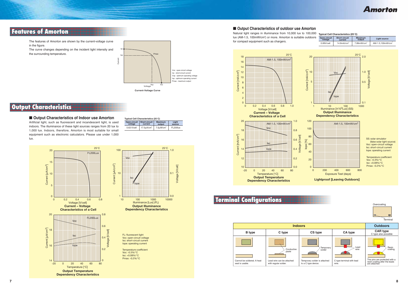## **Features of Amorton**

# **Output Characteristics**

# **Amorton**

The features of Amorton are shown by the current-voltage curve in the figure.

The curve changes depending on the incident light intensity and the surrounding temperature.

■ Output Characteristics of Indoor use Amorton Artificial light, such as fluorescent and incandescent light, is used indoors. The illuminance of these light sources ranges from 20 lux to 1,000 lux. Indoors, therefore, Amorton is most suitable for small equipment such as electronic calculators. Please use under 1,000

lux.



**Dependency Characteristics**



Voc: open-circuit voltage Isc: short-circuit current Iope: operating current



Temperature coefficient Voc: -0.3%/°C Isc: +0.08%/°CPmax: -0.2%/°C

### ■ Output Characteristics of outdoor use Amorton

| Typical Cell Characteristics (25°C)                                                                       |                              |                  |          |  |  |
|-----------------------------------------------------------------------------------------------------------|------------------------------|------------------|----------|--|--|
| Open-circuit<br><b>Short-circuit</b><br>Liaht<br><b>Maximum</b><br>voltage<br>current<br>source<br>output |                              |                  |          |  |  |
| $0.63$ V/cell                                                                                             | $17.0 \mu$ A/cm <sup>2</sup> | $7.0 \mu W/cm^2$ | FL200lux |  |  |

# **Terminal Configurations**



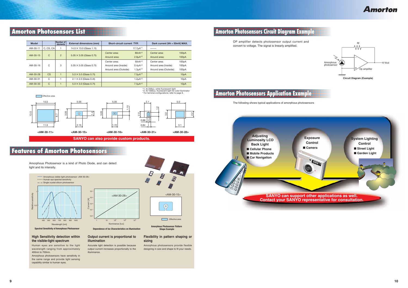# **Amorton Photosensors Application Example**

## **Features of Amorton Photosensors**







**Spectral Sensitivity of Amorphous Photosensor**

**Amorphous Photosensor Pattern Shape Example**

**Amorton** 



Amorphous Photosensor is a kind of Photo Diode, and can detect light and its intensity.

The following shows typical applications of amorphous photosensors

### **High Sensitivity detection within the visible-light spectrum**

Human eyes are sensitive to the light wavelength ranging from approximately 400nm to 700nm.

Amorphous photosensors have sensitivity in the same range and provide light sensing capability similar to human eyes.

### **Output current is proportional to illumination**

Accurate light detection is possible because output current increases proportionally to the illuminance.

### **Flexibility in pattern shaping or sizing**

Amorphous photosensors provide flexible designing in size and shape to fit your needs.

# **Amorton Photosensors List**

# **Amorton Photosensors Circuit Diagram Example**

OP amplifier detects photosensor output current and convert to voltage. The signal is linearly amplified.





| <b>Model</b> |               | Number of<br>elements | <b>External dimensions (mm)</b> | Short-circuit current TYP.                                      |                                                  | Dark current (VR = 50mV) MAX.                                   |                         |
|--------------|---------------|-----------------------|---------------------------------|-----------------------------------------------------------------|--------------------------------------------------|-----------------------------------------------------------------|-------------------------|
| AM-30-11     | C, CS, CA     |                       | $14.0 \times 13.0$ (Glass 1.1t) |                                                                 | $17.7 \mu A^{*1}$                                |                                                                 |                         |
| AM-30-15     | C             | $\overline{2}$        | $5.05 \times 3.05$ (Glass 0.7t) | Center area:<br>Around area:                                    | $80nA*2$<br>$2.8\mu A^{*2}$                      | Center area:<br>Around area:                                    | 100pA<br>100pA          |
| AM-30-16     | C             | 3                     | $5.05 \times 3.05$ (Glass 0.7t) | Center area:<br>Around area (Inside):<br>Around area (Outside): | $50nA*2$<br>$0.4 \mu A^{*2}$<br>$1.3 \mu A^{*2}$ | Center area:<br>Around area (Inside):<br>Around area (Outside): | 100pA<br>100pA<br>100pA |
| AM-30-28     | <b>CS</b>     |                       | $5.0 \times 3.0$ (Glass 0.7t)   |                                                                 | $7.5 \mu A^{*2}$                                 |                                                                 | 10pA                    |
| AM-30-31     | C             |                       | $2.1 \times 2.0$ (Glass 0.4t)   |                                                                 | $1.2 \mu A^{*2}$                                 |                                                                 | 10 <sub>p</sub> A       |
| AM-30-33     | $\mathcal{C}$ |                       | $5.0 \times 3.0$ (Glass 0.7t)   |                                                                 | $7.5 \mu A^{*2}$                                 |                                                                 | 10 <sub>p</sub> A       |

\*1: At 200lux, white fluorescent light \*2: At 1000lux, fluorescent light for color illuminator \* For terminal configurations, refer to page 8.



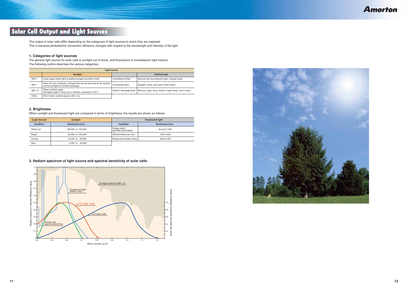# **Solar Cell Output and Light Sources**

**Amorton** 

The output of solar cells differ depending on the categories of light sources to which they are exposed. This is because photoelectric conversion efficiency changes with respect to the wavelength and intensity of the light.

### **1. Categories of light sources**

The general light source for solar cells is sunlight out of doors, and fluorescent or incandescent light indoors. The following outline describes the various categories:

### **2. Brightness**

When sunlight and fluorescent light are compared in terms of brightness, the results are shown as follows:

### **3. Radiant spectrum of light source and spectral sensitivity of solar cells**

|        | Light source                                                                                                    |                         |                                                   |  |  |  |  |
|--------|-----------------------------------------------------------------------------------------------------------------|-------------------------|---------------------------------------------------|--|--|--|--|
|        | <b>Sunlight</b>                                                                                                 |                         | <b>Artificial light</b>                           |  |  |  |  |
| $AM-0$ | Outer space (solar light at global average revolution orbit)                                                    | Incandescent light      | General-use incandescent light, halogen lamp      |  |  |  |  |
| $AM-1$ | When the sun is directly overhead (0m above sea level at the equator,<br>vertical sunlight at meridian passage) | Fluorescent light       | Daylight, white, and warm white colors            |  |  |  |  |
| AM-1.5 | When zenithal angle<br>(Sunlight angle 0° when sun is directly overhead) is 48.2°.                              | Electric discharge lamp | Mercury-vapor lamp, sodium-vapor lamp, xenon lamp |  |  |  |  |
| Other  | AM-2 (when zenithal angle is $60^\circ$ ), etc.                                                                 |                         |                                                   |  |  |  |  |

| [Light Source]<br><b>Sunlight</b> |                    | <b>Fluorescent light</b>                |                   |  |
|-----------------------------------|--------------------|-----------------------------------------|-------------------|--|
| <b>Condition</b>                  | Illuminance (lux)  | <b>Condition</b>                        | Illuminance (lux) |  |
| Direct sun                        | 100,000 to 120,000 | Design stand<br>(partially illuminated) | Around 1,000      |  |
| <b>Bright</b>                     | 50,000 to 100,000  | Office/conference room                  | 300 to 600        |  |
| Cloudy                            | 10,000 to 50,000   | Restaurants/coffee shops                | Below 200         |  |
| Rain                              | 5,000 to 20,000    |                                         |                   |  |



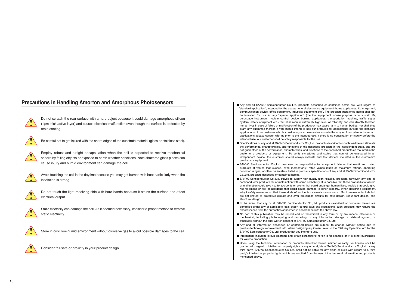## **Precautions in Handling Amorton and Amorphous Photosensors**



Do not scratch the rear surface with a hard object because it could damage amorphous silicon (1μm thick active layer) and causes electrical malfunction even though the surface is protected by resin coating.



Be careful not to get injured with the sharp edges of the substrate material (glass or stainless steel).



Employ robust and airtight encapsulation when the cell is expected to receive mechanical shocks by falling objects or exposed to harsh weather conditions. Note shattered glass pieces can cause injury and humid environment can damage the cell.



Avoid touching the cell in the daytime because you may get burned with heat particularly when the insolation is strong.



Do not touch the light-receiving side with bare hands because it stains the surface and affect electrical output.



Static electricity can damage the cell. As it deemed necessary, consider a proper method to remove static electricity.



Store in cool, low-humid environment without corrosive gas to avoid possible damages to the cell.



Consider fail-safe or prolixity in your product design.

- Any and all SANYO Semiconductor Co.,Ltd. products described or contained herein are, with regard to "standard application", intended for the use as general electronics equipment (home appliances, AV equipment, communication device, office equipment, industrial equipment etc.). The products mentioned herein shall not be intended for use for any "special application" (medical equipment whose purpose is to sustain life aerospace instrument, nuclear control device, burning appliances, transportation machine, traffic signal system, safety equipment etc.) that shall require extremely high level of reliability and can directly threaten human lives in case of failure or malfunction of the product or may cause harm to human bodies, nor shall they grant any guarantee thereof. If you should intend to use our products for applications outside the standard applications of our customer who is considering such use and/or outside the scope of our intended standard applications, please consult with us prior to the intended use. If there is no consultation or inquiry before the intended use, our customer shall be solely responsible for the use.
- Specifications of any and all SANYO Semiconductor Co.,Ltd. products described or contained herein stipulate the performance, characteristics, and functions of the described products in the independent state, and are not guarantees of the performance, characteristics, and functions of the described products as mounted in the customer's products or equipment. To verify symptoms and states that cannot be evaluated in an independent device, the customer should always evaluate and test devices mounted in the customer's products or equipment.
- SANYO Semiconductor Co.,Ltd. assumes no responsibility for equipment failures that result from using products at values that exceed, even momentarily, rated values (such as maximum ratings, operating condition ranges, or other parameters) listed in products specifications of any and all SANYO Semiconductor Co., Ltd. products described or contained herein.
- SANYO Semiconductor Co.,Ltd. strives to supply high-quality high-reliability products, however, any and all semiconductor products fail or malfunction with some probability. It is possible that these probabilistic failures or malfunction could give rise to accidents or events that could endanger human lives, trouble that could give rise to smoke or fire, or accidents that could cause damage to other property. When designing equipment, adopt safety measures so that these kinds of accidents or events cannot occur. Such measures include but are not limited to protective circuits and error prevention circuits for safe design, redundant design, and structural design.
- In the event that any or all SANYO Semiconductor Co.,Ltd. products described or contained herein are controlled under any of applicable local export control laws and regulations, such products may require the export license from the authorities concerned in accordance with the above law.
- No part of this publication may be reproduced or transmitted in any form or by any means, electronic or mechanical, including photocopying and recording, or any information storage or retrieval system, or otherwise, without the prior written consent of SANYO Semiconductor Co.,Ltd.
- Any and all information described or contained herein are subject to change without notice due to product/technology improvement, etc. When designing equipment, refer to the "Delivery Specification" for the SANYO Semiconductor Co.,Ltd. product that you intend to use.
- Information (including circuit diagrams and circuit parameters) herein is for example only; it is not guaranteed for volume production.
- Upon using the technical information or products described herein, neither warranty nor license shall be granted with regard to intellectual property rights or any other rights of SANYO Semiconductor Co.,Ltd. or any third party. SANYO Semiconductor Co.,Ltd. shall not be liable for any claim or suits with regard to a third party's intellectual property rights which has resulted from the use of the technical information and products mentioned above.